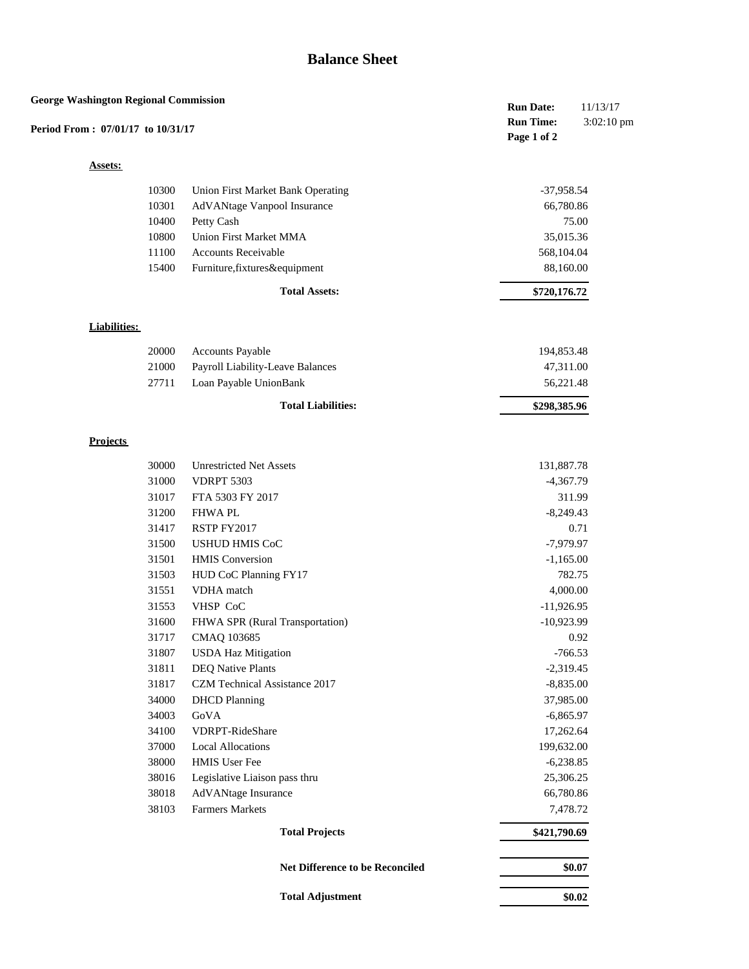## **Balance Sheet**

| <b>George Washington Regional Commission</b><br>Period From: 07/01/17 to 10/31/17 |                                          | <b>Run Date:</b><br><b>Run Time:</b><br>Page 1 of 2 | 11/13/17<br>3:02:10 pm |
|-----------------------------------------------------------------------------------|------------------------------------------|-----------------------------------------------------|------------------------|
| <b>Assets:</b>                                                                    |                                          |                                                     |                        |
| 10300                                                                             | <b>Union First Market Bank Operating</b> | $-37,958.54$                                        |                        |
| 10301                                                                             | AdVANtage Vanpool Insurance              | 66,780.86                                           |                        |
| 10400                                                                             | Petty Cash                               |                                                     | 75.00                  |
| 10800                                                                             | <b>Union First Market MMA</b>            | 35,015.36                                           |                        |
| 11100                                                                             | Accounts Receivable                      | 568,104.04                                          |                        |
| 15400                                                                             | Furniture, fixtures&equipment            | 88,160.00                                           |                        |
|                                                                                   | <b>Total Assets:</b>                     | \$720,176.72                                        |                        |
| <b>Liabilities:</b>                                                               |                                          |                                                     |                        |
| 20000                                                                             | <b>Accounts Payable</b>                  | 194,853.48                                          |                        |
| 21000                                                                             | Payroll Liability-Leave Balances         | 47,311.00                                           |                        |
| 27711                                                                             | Loan Payable UnionBank                   | 56,221.48                                           |                        |
|                                                                                   | <b>Total Liabilities:</b>                | \$298,385.96                                        |                        |
| <b>Projects</b>                                                                   |                                          |                                                     |                        |
| 30000                                                                             | <b>Unrestricted Net Assets</b>           | 131,887.78                                          |                        |
| 31000                                                                             | <b>VDRPT 5303</b>                        | $-4,367.79$                                         |                        |
| 31017                                                                             | FTA 5303 FY 2017                         |                                                     | 311.99                 |
| 31200                                                                             | <b>FHWAPL</b>                            | $-8,249.43$                                         |                        |
| 31417                                                                             | RSTP FY2017                              |                                                     | 0.71                   |
| 31500                                                                             | <b>USHUD HMIS CoC</b>                    | $-7,979.97$                                         |                        |
| 31501                                                                             | <b>HMIS</b> Conversion                   | $-1,165.00$                                         |                        |
| 31503                                                                             | HUD CoC Planning FY17                    |                                                     | 782.75                 |
| 31551                                                                             | VDHA match                               | 4,000.00                                            |                        |
| 31553                                                                             | VHSP CoC                                 | $-11,926.95$                                        |                        |
| 31600                                                                             | FHWA SPR (Rural Transportation)          | $-10,923.99$                                        |                        |
| 31717                                                                             | CMAQ 103685                              |                                                     | 0.92                   |
| 31807                                                                             | <b>USDA Haz Mitigation</b>               | $-766.53$                                           |                        |
| 31811                                                                             | <b>DEQ Native Plants</b>                 | $-2,319.45$                                         |                        |
| 31817                                                                             | CZM Technical Assistance 2017            | $-8,835.00$                                         |                        |
| 34000                                                                             | <b>DHCD</b> Planning                     | 37,985.00                                           |                        |
| 34003                                                                             | GoVA                                     | $-6,865.97$                                         |                        |
| 34100                                                                             | VDRPT-RideShare                          | 17,262.64                                           |                        |
| 37000                                                                             | <b>Local Allocations</b>                 | 199,632.00                                          |                        |
| 38000                                                                             | HMIS User Fee                            | $-6,238.85$                                         |                        |
| 38016                                                                             | Legislative Liaison pass thru            | 25,306.25                                           |                        |
| 38018                                                                             | AdVANtage Insurance                      | 66,780.86                                           |                        |
| 38103                                                                             | <b>Farmers Markets</b>                   | 7,478.72                                            |                        |
|                                                                                   | <b>Total Projects</b>                    | \$421,790.69                                        |                        |
|                                                                                   | Net Difference to be Reconciled          |                                                     | \$0.07                 |
|                                                                                   | <b>Total Adjustment</b>                  |                                                     | \$0.02                 |
|                                                                                   |                                          |                                                     |                        |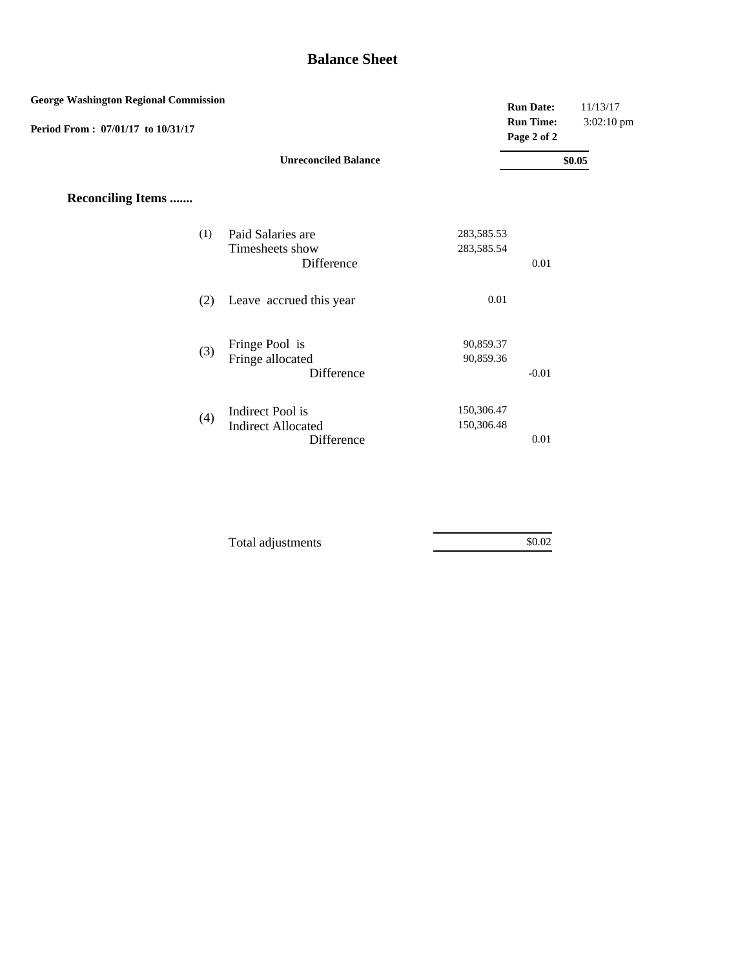## **Balance Sheet**

| <b>George Washington Regional Commission</b> |                                                             |                          | <b>Run Date:</b>                | 11/13/17   |
|----------------------------------------------|-------------------------------------------------------------|--------------------------|---------------------------------|------------|
| Period From: 07/01/17 to 10/31/17            |                                                             |                          | <b>Run Time:</b><br>Page 2 of 2 | 3:02:10 pm |
|                                              | <b>Unreconciled Balance</b>                                 |                          |                                 | \$0.05     |
| <b>Reconciling Items </b>                    |                                                             |                          |                                 |            |
| (1)                                          | Paid Salaries are<br>Timesheets show<br>Difference          | 283,585.53<br>283,585.54 | 0.01                            |            |
| (2)                                          | Leave accrued this year                                     | 0.01                     |                                 |            |
| (3)                                          | Fringe Pool is<br>Fringe allocated<br>Difference            | 90,859.37<br>90,859.36   | $-0.01$                         |            |
| (4)                                          | Indirect Pool is<br><b>Indirect Allocated</b><br>Difference | 150,306.47<br>150,306.48 | 0.01                            |            |

| Total adjustments | \$0.02 |  |
|-------------------|--------|--|
|                   |        |  |